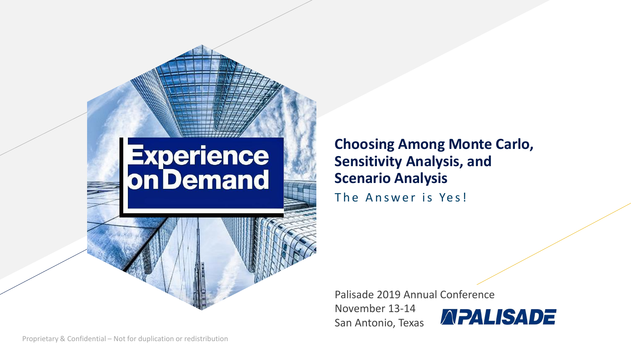# **Experience<br>On Demand**

**Choosing Among Monte Carlo, Sensitivity Analysis, and Scenario Analysis** The Answer is Yes!

Palisade 2019 Annual Conference

November 13-14 San Antonio, Texas

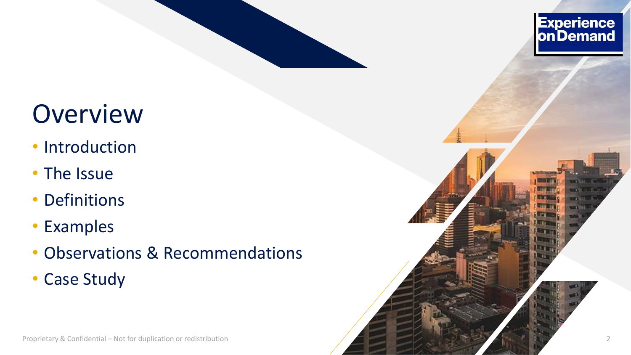

- Introduction
- The Issue
- Definitions
- Examples
- Observations & Recommendations
- Case Study



Experience<br>on Demand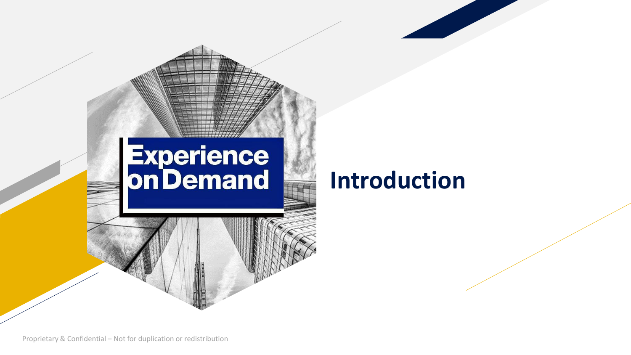

#### **Introduction**

Proprietary & Confidential – Not for duplication or redistribution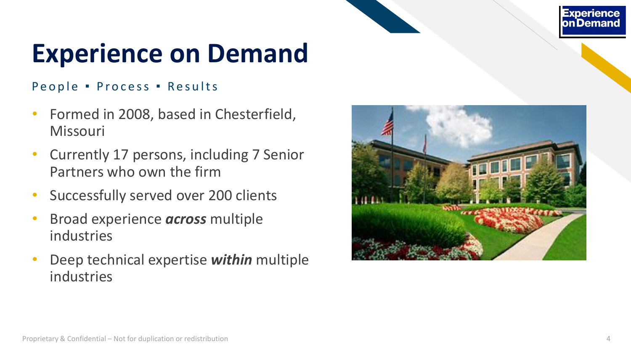#### **Experience** on Demand

## **Experience on Demand**

#### People · Process · Results

- Formed in 2008, based in Chesterfield, Missouri
- Currently 17 persons, including 7 Senior Partners who own the firm
- Successfully served over 200 clients
- Broad experience *across* multiple industries
- Deep technical expertise *within* multiple industries

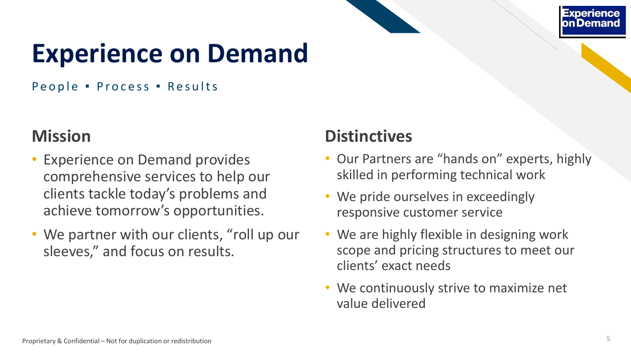

## **Experience on Demand**

People · Process · Results

#### **Mission**

- Experience on Demand provides comprehensive services to help our clients tackle today's problems and achieve tomorrow's opportunities.
- We partner with our clients, "roll up our sleeves," and focus on results.

#### **Distinctives**

- Our Partners are "hands on" experts, highly skilled in performing technical work
- We pride ourselves in exceedingly responsive customer service
- We are highly flexible in designing work scope and pricing structures to meet our clients' exact needs
- We continuously strive to maximize net value delivered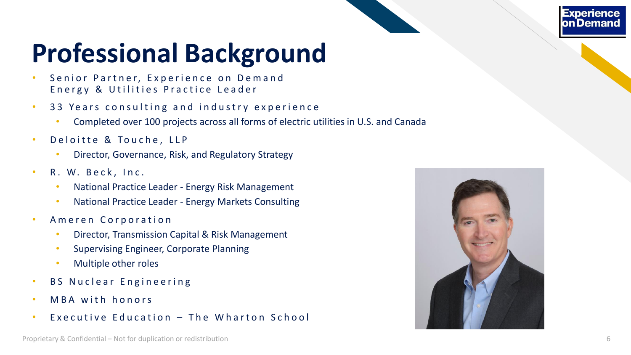#### **Experience** on Demand

# **Professional Background**

- Senior Partner, Experience on Demand Energy & Utilities Practice Leader
- 33 Years consulting and industry experience
	- Completed over 100 projects across all forms of electric utilities in U.S. and Canada
- Deloitte & Touche, LLP
	- Director, Governance, Risk, and Regulatory Strategy
- R. W. Beck, Inc.
	- National Practice Leader Energy Risk Management
	- National Practice Leader Energy Markets Consulting
- Ameren Corporation
	- Director, Transmission Capital & Risk Management
	- Supervising Engineer, Corporate Planning
	- Multiple other roles
- BS Nuclear Engineering
- MBA with honors
- Executive Education  $-$  The Wharton School

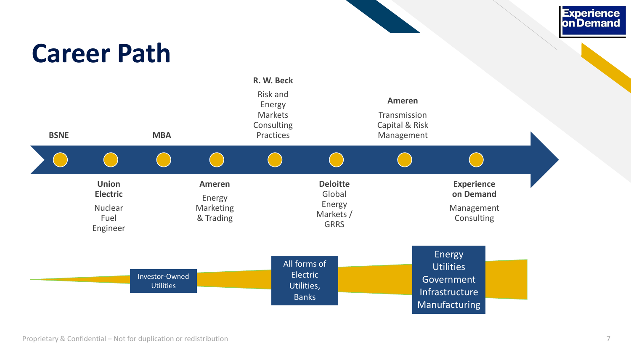#### **Career Path**



Experience<br>on Demand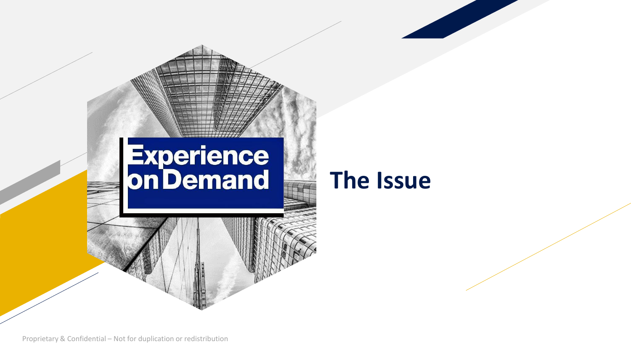

#### **The Issue**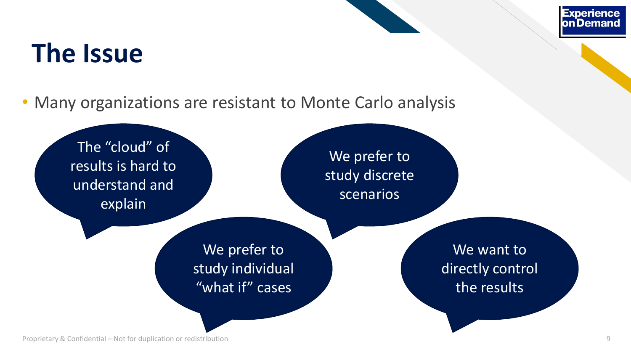#### **The Issue**

• Many organizations are resistant to Monte Carlo analysis

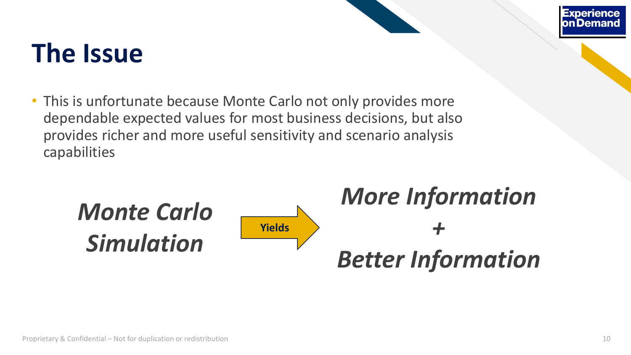## **The Issue**

• This is unfortunate because Monte Carlo not only provides more dependable expected values for most business decisions, but also provides richer and more useful sensitivity and scenario analysis capabilities

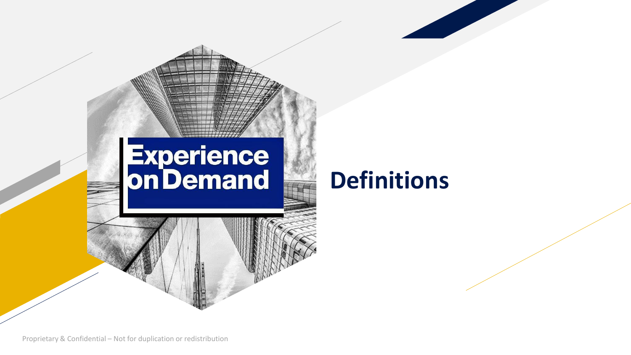

Proprietary & Confidential – Not for duplication or redistribution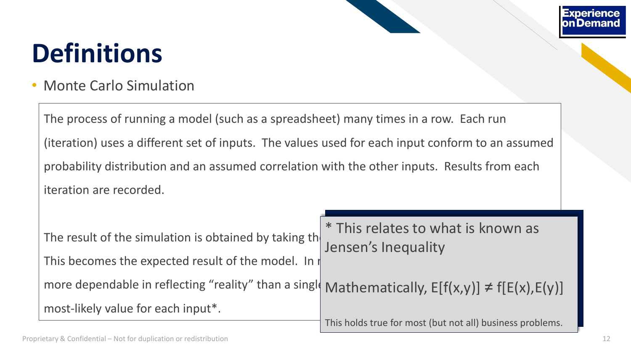• Monte Carlo Simulation

The process of running a model (such as a spreadsheet) many times in a row. Each run (iteration) uses a different set of inputs. The values used for each input conform to an assumed probability distribution and an assumed correlation with the other inputs. Results from each iteration are recorded.

|                                                                                                      | $\vert$ * This relates to what is known as $\vert$        |  |  |  |
|------------------------------------------------------------------------------------------------------|-----------------------------------------------------------|--|--|--|
| The result of the simulation is obtained by taking the same of sinequality                           |                                                           |  |  |  |
| This becomes the expected result of the model. In                                                    |                                                           |  |  |  |
| more dependable in reflecting "reality" than a singly Mathematically, $E[f(x,y)] \neq f[E(x),E(y)]/$ |                                                           |  |  |  |
| most-likely value for each input*.                                                                   |                                                           |  |  |  |
|                                                                                                      | This holds true for most (but not all) business problems. |  |  |  |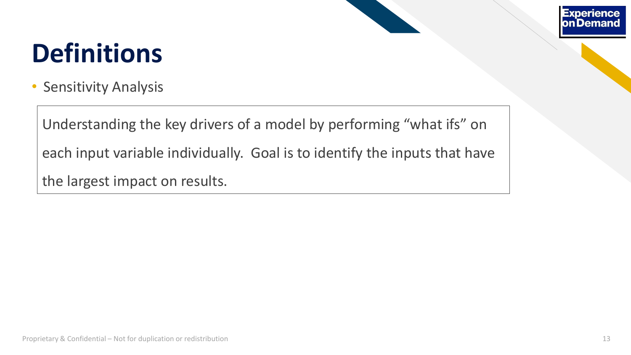

• Sensitivity Analysis

Understanding the key drivers of a model by performing "what ifs" on each input variable individually. Goal is to identify the inputs that have the largest impact on results.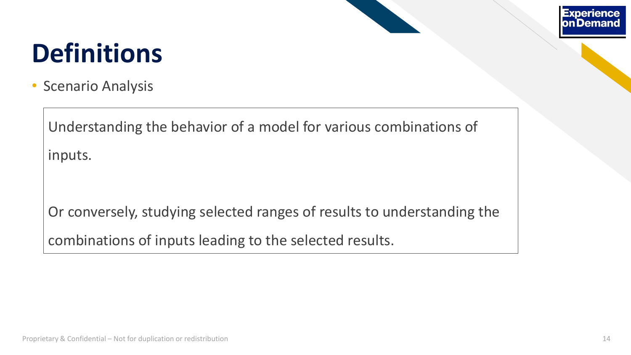

• Scenario Analysis

Understanding the behavior of a model for various combinations of inputs.

Or conversely, studying selected ranges of results to understanding the combinations of inputs leading to the selected results.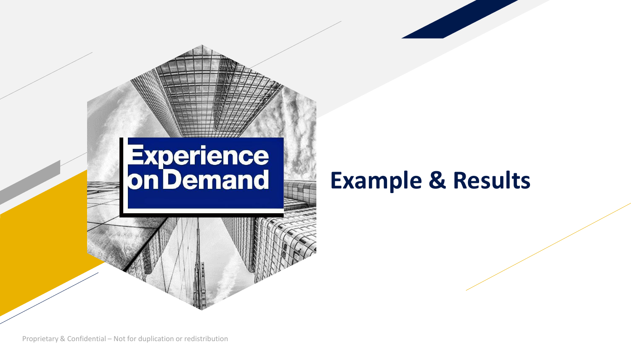

Proprietary & Confidential – Not for duplication or redistribution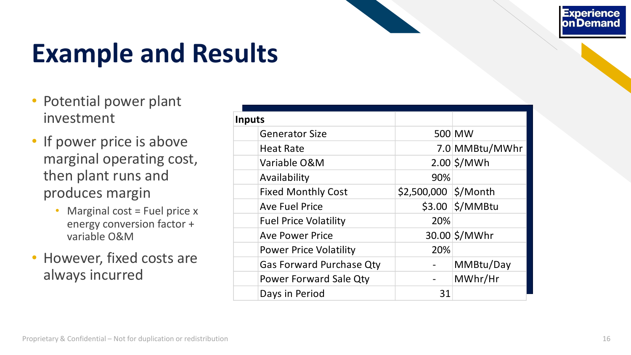**Experience** on Demand

# **Example and Results**

- Potential power plant investment
- If power price is above marginal operating cost, then plant runs and produces margin
	- Marginal cost = Fuel price x energy conversion factor + variable O&M
- However, fixed costs are always incurred

| <b>Inputs</b>                   |                      |                   |
|---------------------------------|----------------------|-------------------|
| <b>Generator Size</b>           |                      | 500 MW            |
| <b>Heat Rate</b>                |                      | 7.0 MMBtu/MWhr    |
| Variable O&M                    |                      | $2.00$ \$/MWh     |
| Availability                    | 90%                  |                   |
| <b>Fixed Monthly Cost</b>       | \$2,500,000 \$/Month |                   |
| <b>Ave Fuel Price</b>           |                      | $$3.00$ $$/MMBtu$ |
| <b>Fuel Price Volatility</b>    | 20%                  |                   |
| <b>Ave Power Price</b>          |                      | 30.00 \$/MWhr     |
| <b>Power Price Volatility</b>   | 20%                  |                   |
| <b>Gas Forward Purchase Qty</b> |                      | MMBtu/Day         |
| <b>Power Forward Sale Qty</b>   |                      | MWhr/Hr           |
| Days in Period                  | 31                   |                   |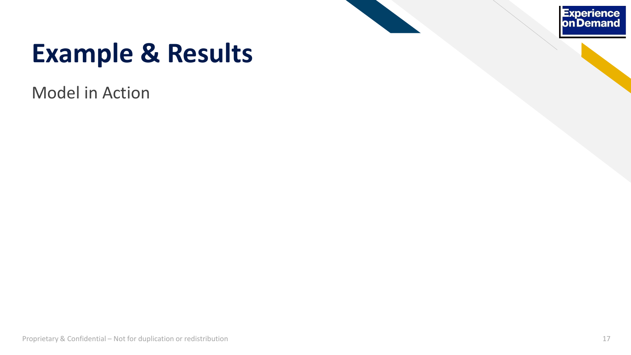

Model in Action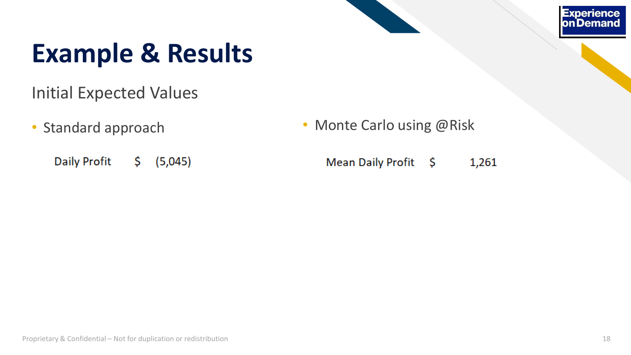#### **Experience on Demand**

#### **Example & Results**

- Initial Expected Values
- - **Daily Profit** \$  $(5,045)$
- Standard approach Monte Carlo using @Risk
	- Mean Daily Profit \$ 1,261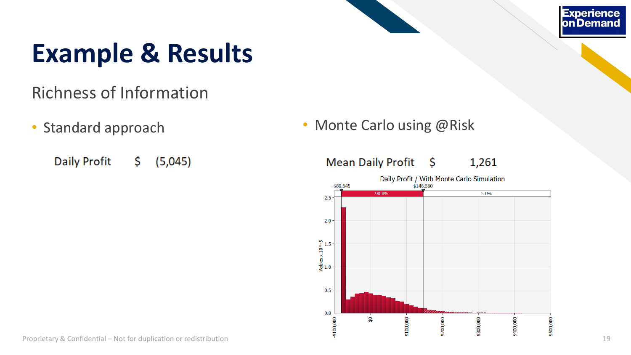#### Richness of Information

**Daily Profit**  $(5,045)$ \$.

• Standard approach • Monte Carlo using @Risk

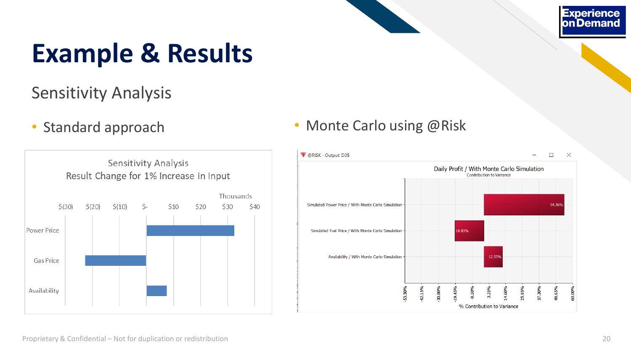#### Sensitivity Analysis



#### • Standard approach • Monte Carlo using @Risk

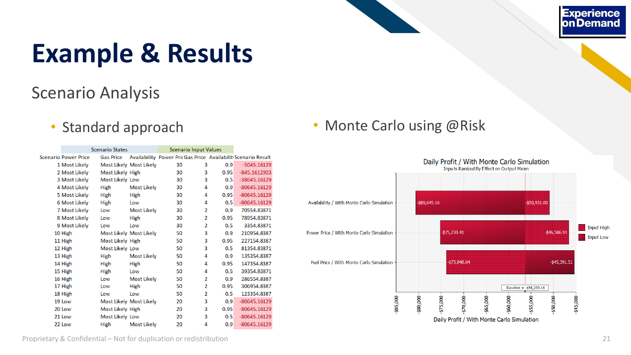#### Scenario Analysis

| <b>Scenario States</b> |                  |                         | <b>Scenario Input Values</b> |                |      |                                                               |  |
|------------------------|------------------|-------------------------|------------------------------|----------------|------|---------------------------------------------------------------|--|
| Scenario Power Price   | <b>Gas Price</b> |                         |                              |                |      | Availability Power Pric Gas Price Availabilit Scenario Result |  |
| 1 Most Likely          |                  | Most Likely Most Likely | 30                           | 3              | 0.9  | $-5045.16129$                                                 |  |
| 2 Most Likely          | Most Likely High |                         | 30                           | 3              | 0.95 | $-845.1612903$                                                |  |
| 3 Most Likely          | Most Likely Low  |                         | 30                           | 3              | 0.5  | $-38645.16129$                                                |  |
| 4 Most Likely          | High             | <b>Most Likely</b>      | 30                           | 4              | 0.9  | $-80645.16129$                                                |  |
| 5 Most Likely          | High             | High                    | 30                           | 4              | 0.95 | $-80645.16129$                                                |  |
| 6 Most Likely          | High             | Low                     | 30                           | 4              | 0.5  | $-80645.16129$                                                |  |
| 7 Most Likely          | Low              | <b>Most Likely</b>      | 30                           | $\overline{2}$ | 0.9  | 70554.83871                                                   |  |
| 8 Most Likely          | Low              | High                    | 30                           | $\overline{2}$ | 0.95 | 78954.83871                                                   |  |
| 9 Most Likely          | Low              | Low                     | 30                           | $\overline{2}$ | 0.5  | 3354.83871                                                    |  |
| 10 High                |                  | Most Likely Most Likely | 50                           | 3              | 0.9  | 210954.8387                                                   |  |
| 11 High                | Most Likely High |                         | 50                           | 3              | 0.95 | 227154.8387                                                   |  |
| 12 High                | Most Likely Low  |                         | 50                           | 3              | 0.5  | 81354.83871                                                   |  |
| 13 High                | High             | <b>Most Likely</b>      | 50                           | 4              | 0.9  | 135354.8387                                                   |  |
| 14 High                | High             | High                    | 50                           | 4              | 0.95 | 147354.8387                                                   |  |
| 15 High                | High             | Low                     | 50                           | 4              | 0.5  | 39354.83871                                                   |  |
| 16 High                | Low              | <b>Most Likely</b>      | 50                           | 2              | 0.9  | 286554.8387                                                   |  |
| 17 High                | Low              | High                    | 50                           | 2              | 0.95 | 306954.8387                                                   |  |
| 18 High                | Low              | Low                     | 50                           | $\overline{2}$ | 0.5  | 123354.8387                                                   |  |
| 19 Low                 |                  | Most Likely Most Likely | 20                           | 3              | 0.9  | $-80645.16129$                                                |  |
| 20 Low                 | Most Likely High |                         | 20                           | 3              | 0.95 | $-80645.16129$                                                |  |
| 21 Low                 | Most Likely Low  |                         | 20                           | 3              | 0.5  | $-80645.16129$                                                |  |
| 22 Low                 | <b>High</b>      | <b>Most Likely</b>      | 20                           | 4              | 0.9  | $-80645.16129$                                                |  |

#### • Standard approach • Monte Carlo using @Risk

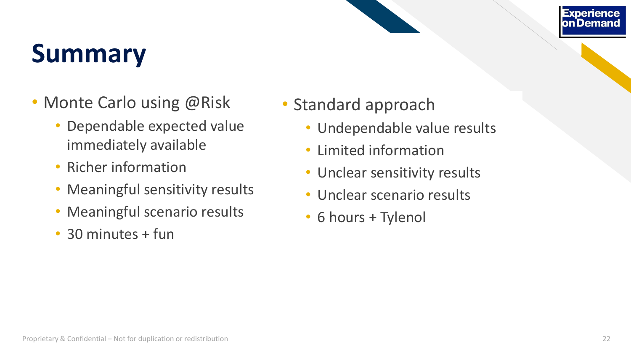## **Summary**

- Monte Carlo using @Risk
	- Dependable expected value immediately available
	- Richer information
	- Meaningful sensitivity results
	- Meaningful scenario results
	- 30 minutes + fun
- Standard approach
	- Undependable value results
	- Limited information
	- Unclear sensitivity results
	- Unclear scenario results
	- 6 hours + Tylenol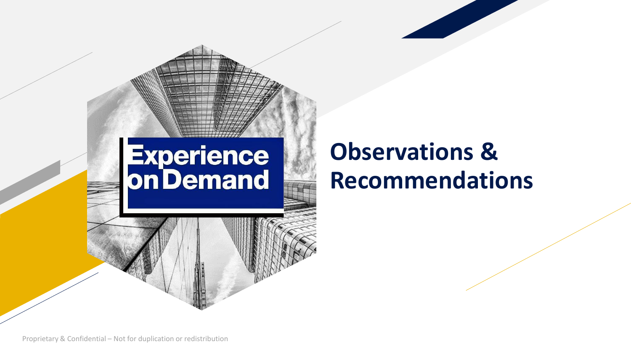# **Experience<br>On Demand**

#### **Observations & Recommendations**

Proprietary & Confidential – Not for duplication or redistribution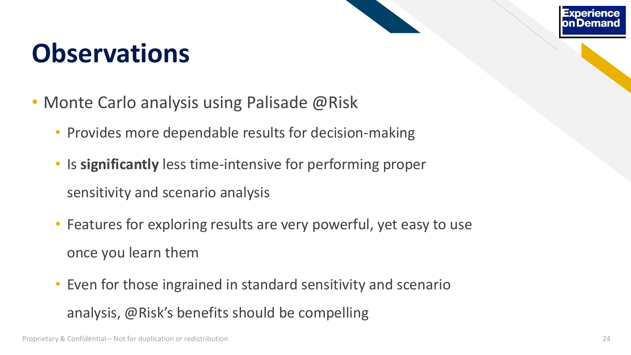#### **Observations**

- Monte Carlo analysis using Palisade @Risk
	- Provides more dependable results for decision-making
	- Is **significantly** less time-intensive for performing proper sensitivity and scenario analysis
	- Features for exploring results are very powerful, yet easy to use once you learn them
	- Even for those ingrained in standard sensitivity and scenario analysis, @Risk's benefits should be compelling

on Dem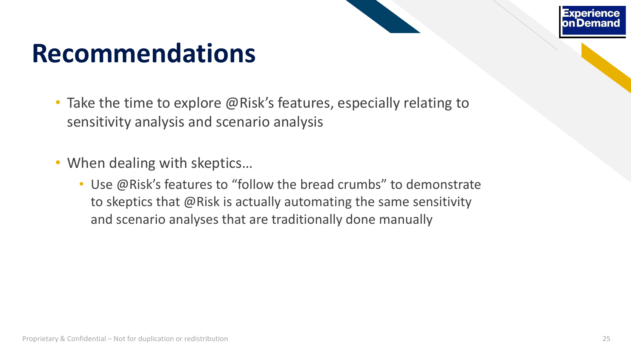#### **Recommendations**

- Take the time to explore @Risk's features, especially relating to sensitivity analysis and scenario analysis
- When dealing with skeptics...
	- Use @Risk's features to "follow the bread crumbs" to demonstrate to skeptics that @Risk is actually automating the same sensitivity and scenario analyses that are traditionally done manually

Experien on Dema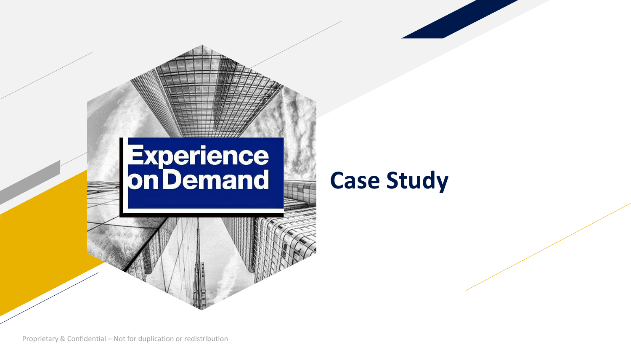

#### **Case Study**

Proprietary & Confidential – Not for duplication or redistribution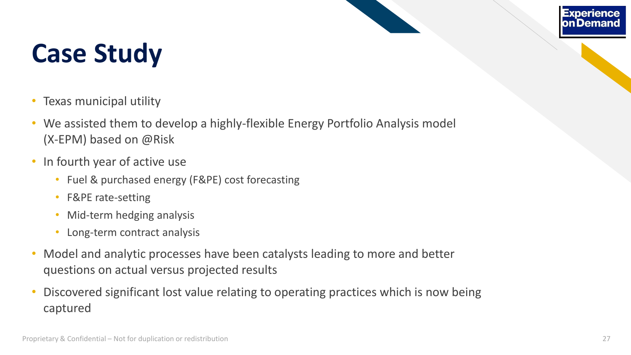#### **Experience** on Demand

## **Case Study**

- Texas municipal utility
- We assisted them to develop a highly-flexible Energy Portfolio Analysis model (X-EPM) based on @Risk
- In fourth year of active use
	- Fuel & purchased energy (F&PE) cost forecasting
	- F&PE rate-setting
	- Mid-term hedging analysis
	- Long-term contract analysis
- Model and analytic processes have been catalysts leading to more and better questions on actual versus projected results
- Discovered significant lost value relating to operating practices which is now being captured